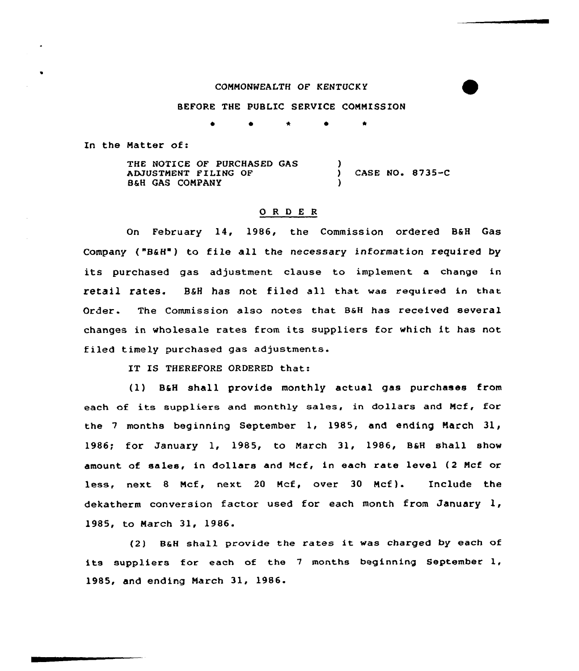## CONNONNEALTH OF KENTUCKY

## BEFORE THE PUBLIC SERVICE COMMISSION

0 \*

In the Matter of:

THE NOTICE OF PURCHASED GAS ADJUSTNENT FILING OF 8&H GAS CONPANY ) ) CASE NO <sup>~</sup> 8735-C )

## 0 <sup>R</sup> <sup>D</sup> E <sup>R</sup>

On February 14, 1986, the Commission ordered B&H Gas Company ("8&H') to file all the necessary information required by its purchased gas adjustment clause to implement <sup>a</sup> change in retail rates. B&H has not filed all that was required in that Order. The Commission also notes that B&H has received several changes in wholesale rates from its suppliers for which it has not filed timely purchased gas adjustments.

IT IS THEREFORE ORDERED that:

(1) B&H shall provide monthly actual gas purchases from each of its suppliers and monthly sales, in dollars and Ncf, for the 7 months beginning September 1, 1985, and ending March  $31<sub>1</sub>$ 1986; for January 1, 1985, to Narch 31, 1986, B&H shall show amount of sales, in dollars and Ncf, in each rate level (2 Ncf or less, next 8 Ncf, next <sup>20</sup> Mcf, over 30 Ncf). Include the dekatherm conversion factor used for each month from January 1, 1985, to Narch 31, 1986.

(2) B&H shall provide the rates it was charged by each of its suppliers for each of the <sup>7</sup> months beginning September 1, 1985, and ending Narch 31, 1986.